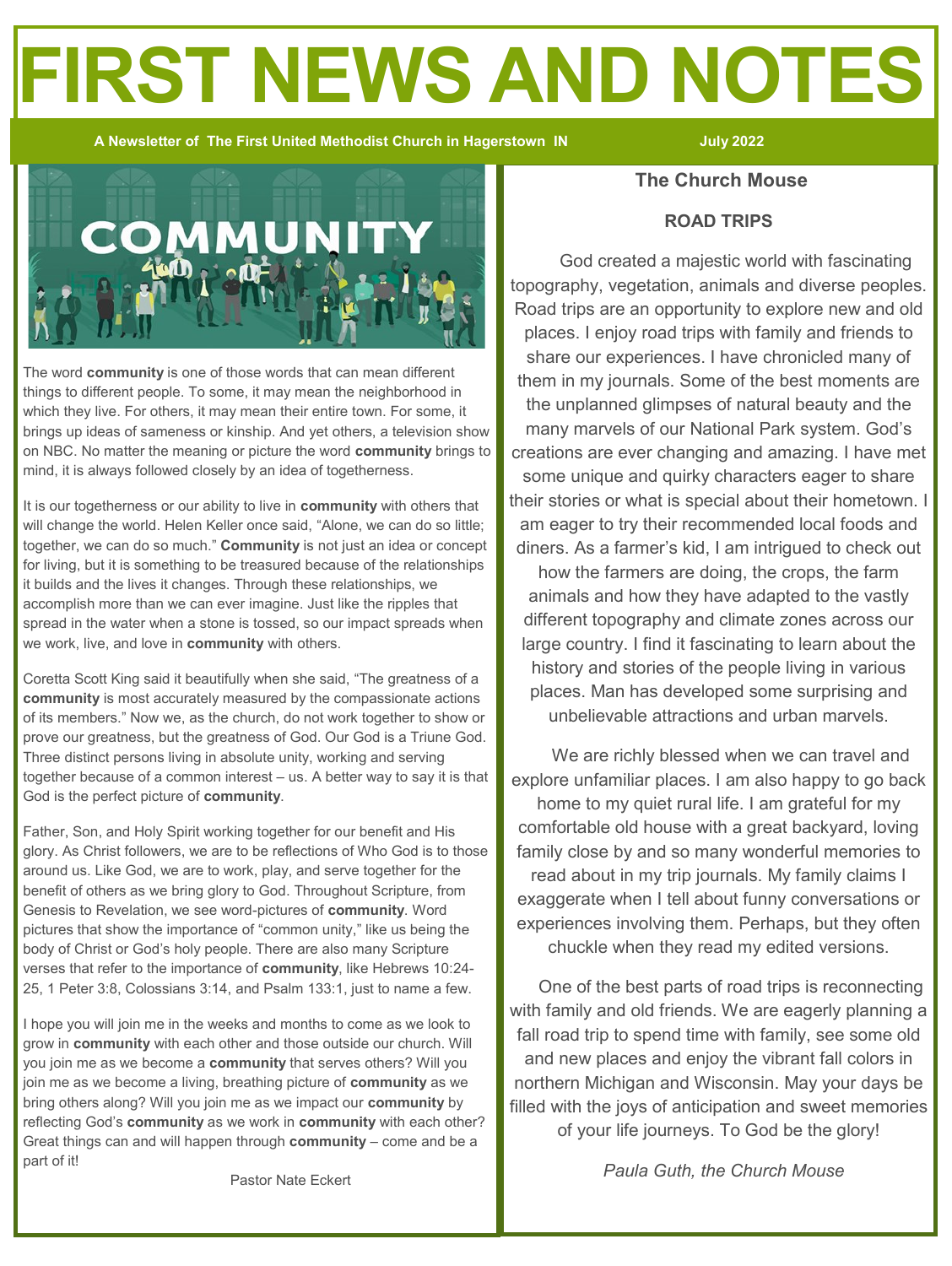# **FIRST NEWS AND NOTES**

 **A Newsletter of The First United Methodist Church in Hagerstown IN July 2022**



The word **community** is one of those words that can mean different things to different people. To some, it may mean the neighborhood in which they live. For others, it may mean their entire town. For some, it brings up ideas of sameness or kinship. And yet others, a television show on NBC. No matter the meaning or picture the word **community** brings to mind, it is always followed closely by an idea of togetherness.

It is our togetherness or our ability to live in **community** with others that will change the world. Helen Keller once said, "Alone, we can do so little; together, we can do so much." **Community** is not just an idea or concept for living, but it is something to be treasured because of the relationships it builds and the lives it changes. Through these relationships, we accomplish more than we can ever imagine. Just like the ripples that spread in the water when a stone is tossed, so our impact spreads when we work, live, and love in **community** with others.

Coretta Scott King said it beautifully when she said, "The greatness of a **community** is most accurately measured by the compassionate actions of its members." Now we, as the church, do not work together to show or prove our greatness, but the greatness of God. Our God is a Triune God. Three distinct persons living in absolute unity, working and serving together because of a common interest – us. A better way to say it is that God is the perfect picture of **community**.

Father, Son, and Holy Spirit working together for our benefit and His glory. As Christ followers, we are to be reflections of Who God is to those around us. Like God, we are to work, play, and serve together for the benefit of others as we bring glory to God. Throughout Scripture, from Genesis to Revelation, we see word-pictures of **community**. Word pictures that show the importance of "common unity," like us being the body of Christ or God's holy people. There are also many Scripture verses that refer to the importance of **community**, like Hebrews 10:24- 25, 1 Peter 3:8, Colossians 3:14, and Psalm 133:1, just to name a few.

I hope you will join me in the weeks and months to come as we look to grow in **community** with each other and those outside our church. Will you join me as we become a **community** that serves others? Will you join me as we become a living, breathing picture of **community** as we bring others along? Will you join me as we impact our **community** by reflecting God's **community** as we work in **community** with each other? Great things can and will happen through **community** – come and be a part of it!

#### **The Church Mouse**

#### **ROAD TRIPS**

 God created a majestic world with fascinating topography, vegetation, animals and diverse peoples. Road trips are an opportunity to explore new and old places. I enjoy road trips with family and friends to share our experiences. I have chronicled many of them in my journals. Some of the best moments are the unplanned glimpses of natural beauty and the many marvels of our National Park system. God's creations are ever changing and amazing. I have met some unique and quirky characters eager to share their stories or what is special about their hometown. I am eager to try their recommended local foods and diners. As a farmer's kid, I am intrigued to check out

how the farmers are doing, the crops, the farm animals and how they have adapted to the vastly different topography and climate zones across our large country. I find it fascinating to learn about the history and stories of the people living in various places. Man has developed some surprising and unbelievable attractions and urban marvels.

 We are richly blessed when we can travel and explore unfamiliar places. I am also happy to go back home to my quiet rural life. I am grateful for my comfortable old house with a great backyard, loving family close by and so many wonderful memories to read about in my trip journals. My family claims I exaggerate when I tell about funny conversations or experiences involving them. Perhaps, but they often chuckle when they read my edited versions.

 One of the best parts of road trips is reconnecting with family and old friends. We are eagerly planning a fall road trip to spend time with family, see some old and new places and enjoy the vibrant fall colors in northern Michigan and Wisconsin. May your days be filled with the joys of anticipation and sweet memories of your life journeys. To God be the glory!

*Paula Guth, the Church Mouse*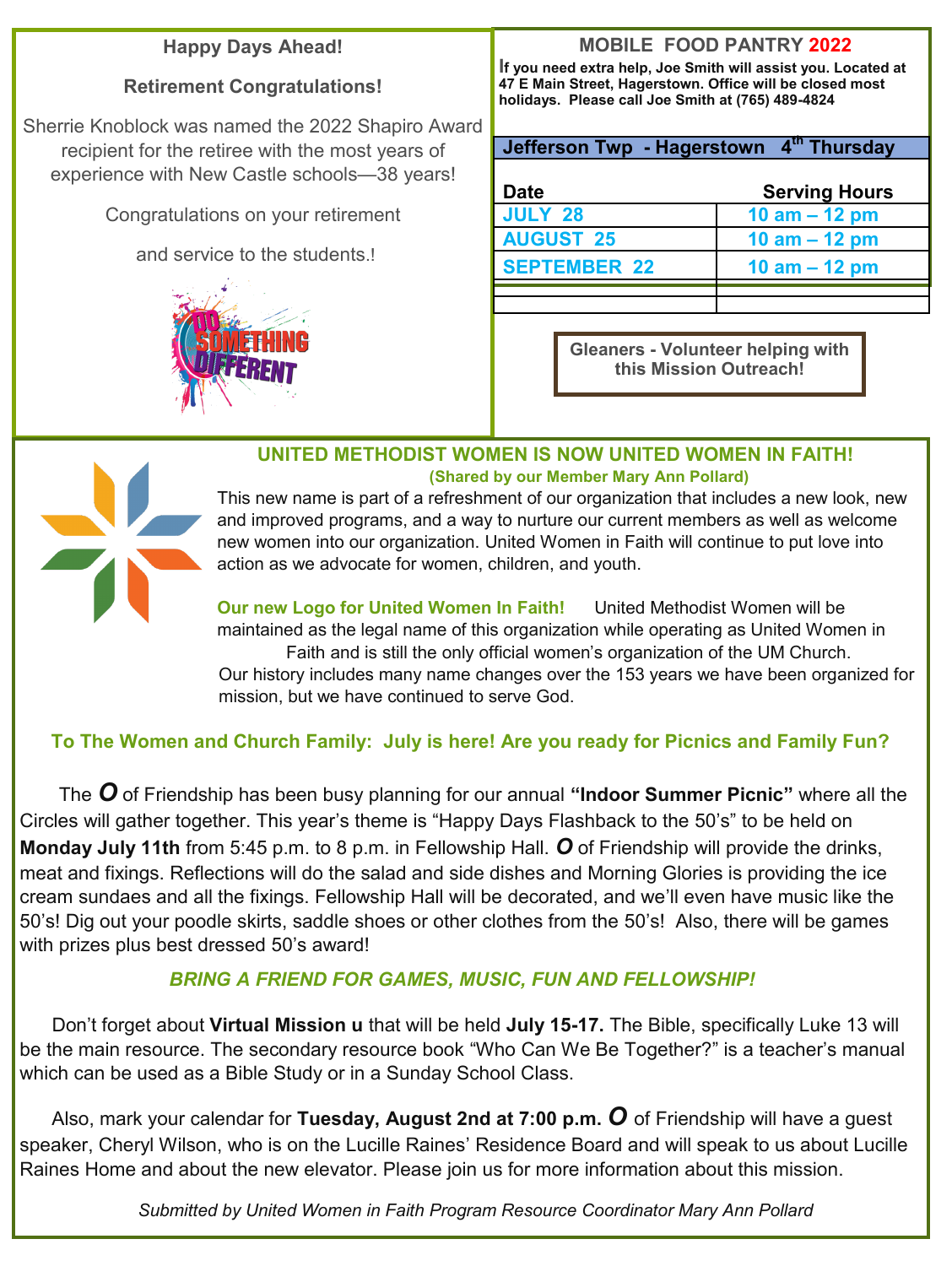# **Happy Days Ahead!**

# **Retirement Congratulations!**

Sherrie Knoblock was named the 2022 Shapiro Award recipient for the retiree with the most years of experience with New Castle schools—38 years!

Congratulations on your retirement

and service to the students.!



# **MOBILE FOOD PANTRY 2022**

**If you need extra help, Joe Smith will assist you. Located at 47 E Main Street, Hagerstown. Office will be closed most holidays. Please call Joe Smith at (765) 489-4824** 

| Jefferson Twp - Hagerstown 4th Thursday |  |
|-----------------------------------------|--|
|                                         |  |

| <b>Date</b>         | <b>Serving Hours</b> |
|---------------------|----------------------|
| <b>JULY 28</b>      | 10 $am - 12 pm$      |
| <b>AUGUST 25</b>    | 10 $am - 12 pm$      |
| <b>SEPTEMBER 22</b> | 10 $am - 12 pm$      |
|                     |                      |
|                     |                      |

**Gleaners - Volunteer helping with this Mission Outreach!**

## **UNITED METHODIST WOMEN IS NOW UNITED WOMEN IN FAITH! (Shared by our Member Mary Ann Pollard)**

This new name is part of a refreshment of our organization that includes a new look, new and improved programs, and a way to nurture our current members as well as welcome new women into our organization. United Women in Faith will continue to put love into action as we advocate for women, children, and youth.

**Our new Logo for United Women In Faith!** United Methodist Women will be maintained as the legal name of this organization while operating as United Women in Faith and is still the only official women's organization of the UM Church. Our history includes many name changes over the 153 years we have been organized for mission, but we have continued to serve God.

# **To The Women and Church Family: July is here! Are you ready for Picnics and Family Fun?**

 The *O* of Friendship has been busy planning for our annual **"Indoor Summer Picnic"** where all the Circles will gather together. This year's theme is "Happy Days Flashback to the 50's" to be held on **Monday July 11th** from 5:45 p.m. to 8 p.m. in Fellowship Hall. *O* of Friendship will provide the drinks, meat and fixings. Reflections will do the salad and side dishes and Morning Glories is providing the ice cream sundaes and all the fixings. Fellowship Hall will be decorated, and we'll even have music like the 50's! Dig out your poodle skirts, saddle shoes or other clothes from the 50's! Also, there will be games with prizes plus best dressed 50's award!

# *BRING A FRIEND FOR GAMES, MUSIC, FUN AND FELLOWSHIP!*

 Don't forget about **Virtual Mission u** that will be held **July 15-17.** The Bible, specifically Luke 13 will be the main resource. The secondary resource book "Who Can We Be Together?" is a teacher's manual which can be used as a Bible Study or in a Sunday School Class.

 Also, mark your calendar for **Tuesday, August 2nd at 7:00 p.m.** *O* of Friendship will have a guest speaker, Cheryl Wilson, who is on the Lucille Raines' Residence Board and will speak to us about Lucille Raines Home and about the new elevator. Please join us for more information about this mission.

*Submitted by United Women in Faith Program Resource Coordinator Mary Ann Pollard*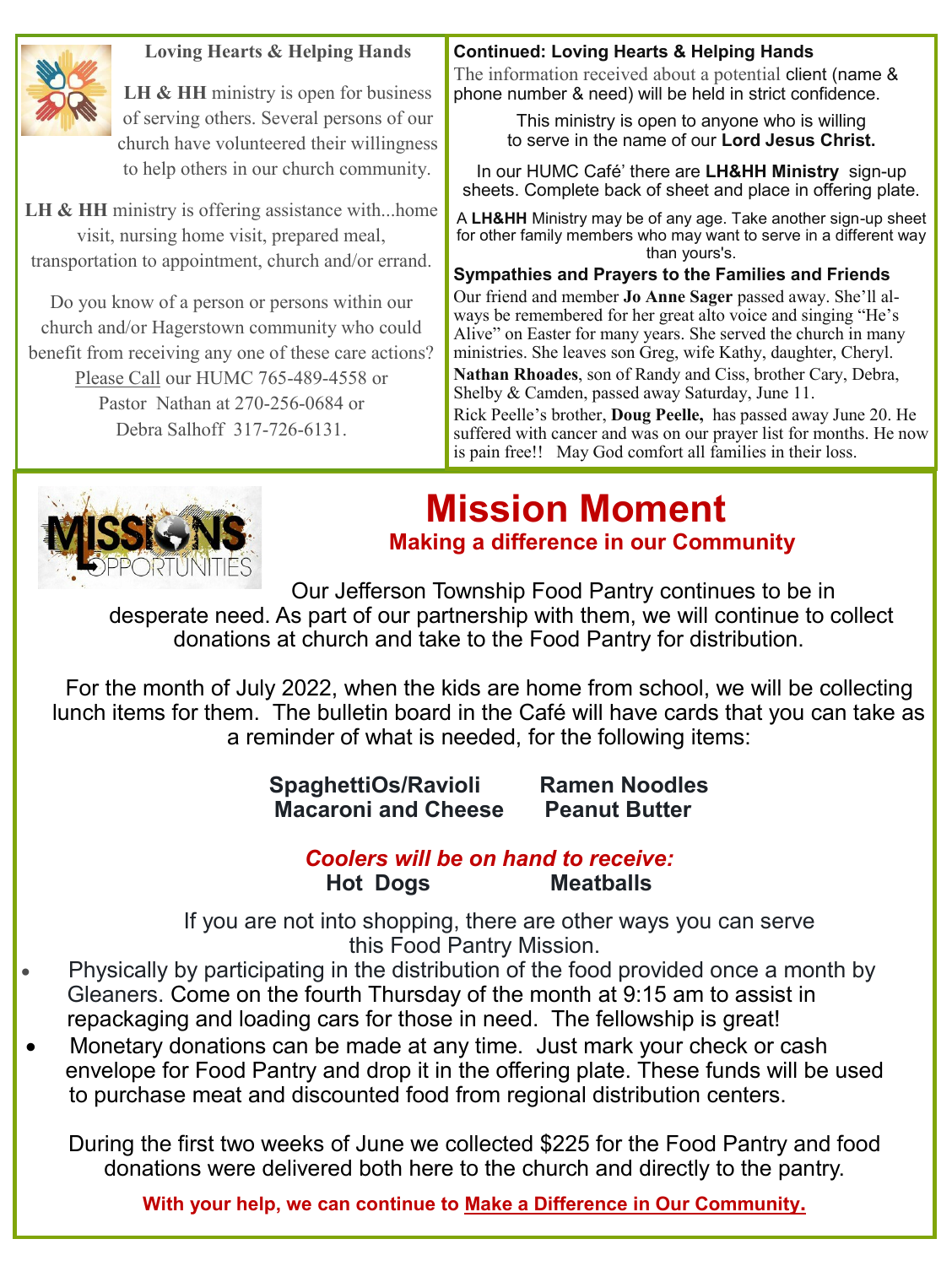

#### **Loving Hearts & Helping Hands**

LH & HH ministry is open for business of serving others. Several persons of our church have volunteered their willingness to help others in our church community.

LH & HH ministry is offering assistance with...home visit, nursing home visit, prepared meal, transportation to appointment, church and/or errand.

Do you know of a person or persons within our church and/or Hagerstown community who could benefit from receiving any one of these care actions? Please Call our HUMC 765-489-4558 or Pastor Nathan at 270-256-0684 or Debra Salhoff 317-726-6131.

#### **Continued: Loving Hearts & Helping Hands**

The information received about a potential client (name & phone number & need) will be held in strict confidence.

> This ministry is open to anyone who is willing to serve in the name of our **Lord Jesus Christ.**

In our HUMC Café' there are **LH&HH Ministry** sign-up sheets. Complete back of sheet and place in offering plate.

A **LH&HH** Ministry may be of any age. Take another sign-up sheet for other family members who may want to serve in a different way than yours's.

#### **Sympathies and Prayers to the Families and Friends**

Our friend and member **Jo Anne Sager** passed away. She'll always be remembered for her great alto voice and singing "He's Alive" on Easter for many years. She served the church in many ministries. She leaves son Greg, wife Kathy, daughter, Cheryl. **Nathan Rhoades**, son of Randy and Ciss, brother Cary, Debra, Shelby & Camden, passed away Saturday, June 11.

Rick Peelle's brother, **Doug Peelle,** has passed away June 20. He suffered with cancer and was on our prayer list for months. He now is pain free!! May God comfort all families in their loss.



# **Mission Moment Making a difference in our Community**

Our Jefferson Township Food Pantry continues to be in

 desperate need. As part of our partnership with them, we will continue to collect donations at church and take to the Food Pantry for distribution.

For the month of July 2022, when the kids are home from school, we will be collecting lunch items for them. The bulletin board in the Café will have cards that you can take as a reminder of what is needed, for the following items:

> **SpaghettiOs/Ravioli Ramen Noodles Macaroni and Cheese Peanut Butter**

#### *Coolers will be on hand to receive:* **Hot Dogs Meatballs**

 If you are not into shopping, there are other ways you can serve this Food Pantry Mission.

- Physically by participating in the distribution of the food provided once a month by Gleaners. Come on the fourth Thursday of the month at 9:15 am to assist in repackaging and loading cars for those in need. The fellowship is great!
- Monetary donations can be made at any time. Just mark your check or cash envelope for Food Pantry and drop it in the offering plate. These funds will be used to purchase meat and discounted food from regional distribution centers.

During the first two weeks of June we collected \$225 for the Food Pantry and food donations were delivered both here to the church and directly to the pantry.

**With your help, we can continue to Make a Difference in Our Community.**